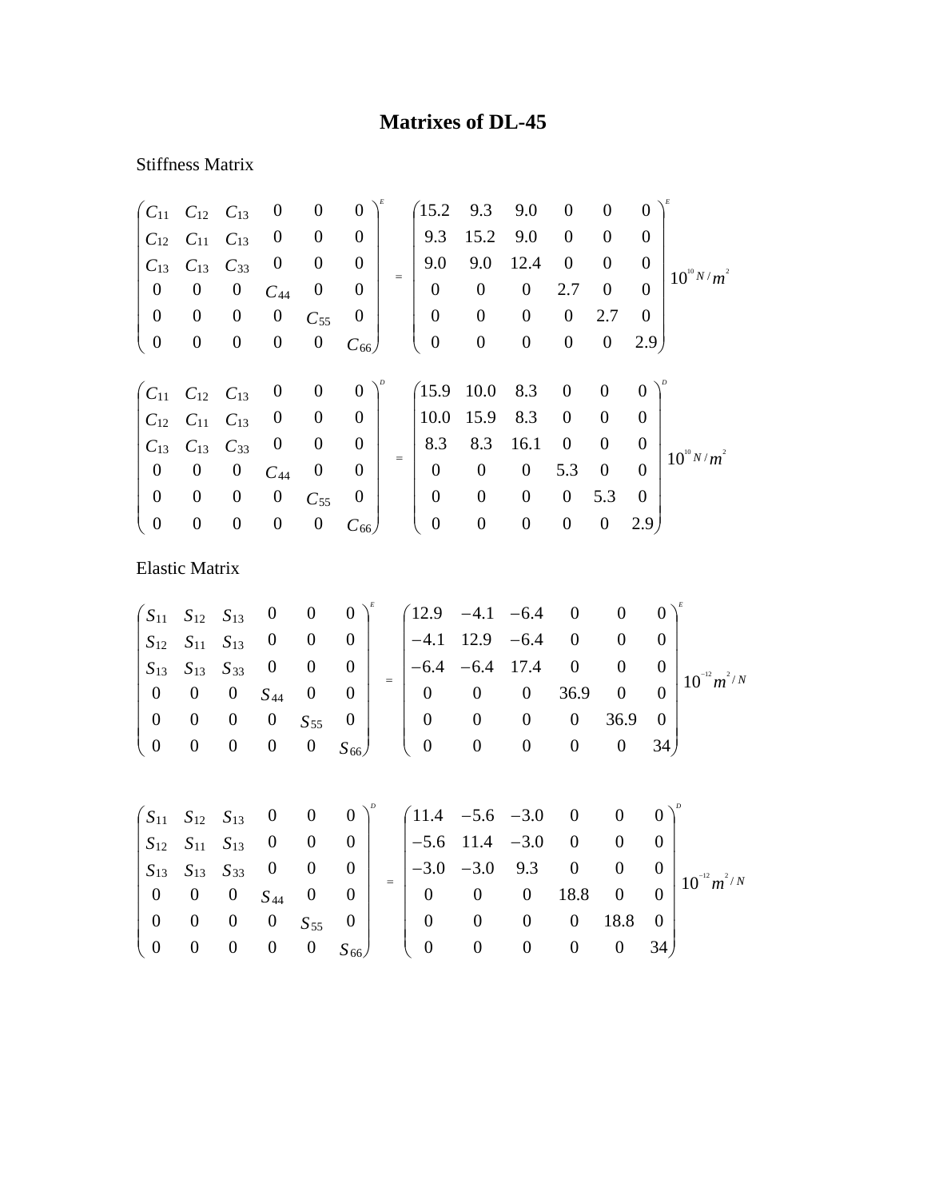## **Matrixes of DL-45**

## Stiffness Matrix

| $C_{11}$         | $C_{12}$              | $C_{13}$         | $\boldsymbol{0}$ | $\boldsymbol{0}$ | $\boldsymbol{0}$ |     | (15.2)           | 9.3              | 9.0              | $\boldsymbol{0}$ | $\boldsymbol{0}$ | $\overline{0}$   |                  |
|------------------|-----------------------|------------------|------------------|------------------|------------------|-----|------------------|------------------|------------------|------------------|------------------|------------------|------------------|
| $C_{12}$         | $C_{11}$              | $C_{13}$         | $\boldsymbol{0}$ | $\boldsymbol{0}$ | $\boldsymbol{0}$ |     | 9.3              | 15.2             | 9.0              | $\boldsymbol{0}$ | $\boldsymbol{0}$ | $\overline{0}$   |                  |
| $C_{13}$         | $C_{13}$              | $C_{33}$         | $\boldsymbol{0}$ | $\overline{0}$   | $\boldsymbol{0}$ |     | 9.0              | 9.0              | 12.4             | $\boldsymbol{0}$ | $\overline{0}$   | $\boldsymbol{0}$ |                  |
| $\boldsymbol{0}$ | $\boldsymbol{0}$      | $\boldsymbol{0}$ | $C_{44}$         | $\boldsymbol{0}$ | $\overline{0}$   | $=$ | $\boldsymbol{0}$ | $\boldsymbol{0}$ | $\boldsymbol{0}$ | 2.7              | $\boldsymbol{0}$ | $\overline{0}$   | $10^{10} N/m^2$  |
| $\boldsymbol{0}$ | $\boldsymbol{0}$      | $\boldsymbol{0}$ | $\boldsymbol{0}$ | $C_{55}$         | $\boldsymbol{0}$ |     | $\boldsymbol{0}$ | $\boldsymbol{0}$ | $\boldsymbol{0}$ | $\boldsymbol{0}$ | 2.7              | $\boldsymbol{0}$ |                  |
| $\boldsymbol{0}$ | $\boldsymbol{0}$      | $\boldsymbol{0}$ | $\boldsymbol{0}$ | $\boldsymbol{0}$ | $C_{66}$         |     | $\boldsymbol{0}$ | $\boldsymbol{0}$ | $\boldsymbol{0}$ | $\boldsymbol{0}$ | $\boldsymbol{0}$ | 2.9 <sub>1</sub> |                  |
|                  |                       |                  |                  |                  |                  |     |                  |                  |                  |                  |                  |                  |                  |
| $\int C_{11}$    | $C_{12}$              | $C_{13}$         | $\boldsymbol{0}$ | $\boldsymbol{0}$ | $\boldsymbol{0}$ |     | (15.9)           | 10.0             | 8.3              | $\boldsymbol{0}$ | $\boldsymbol{0}$ | $\overline{0}$   |                  |
| $C_{12}$         | $C_{11}$              | $C_{13}$         | $\boldsymbol{0}$ | $\boldsymbol{0}$ | $\boldsymbol{0}$ |     | 10.0             | 15.9             | 8.3              | $\boldsymbol{0}$ | $\boldsymbol{0}$ | $\overline{0}$   |                  |
| $C_{13}$         | $C_{13}$              | $C_{33}$         | $\boldsymbol{0}$ | $\boldsymbol{0}$ | $\boldsymbol{0}$ |     | 8.3              | 8.3              | 16.1             | $\boldsymbol{0}$ | $\boldsymbol{0}$ | $\overline{0}$   | $10^{10} N/m^2$  |
| $\boldsymbol{0}$ | $\boldsymbol{0}$      | $\boldsymbol{0}$ | $C_{44}$         | $\boldsymbol{0}$ | $\boldsymbol{0}$ | $=$ | $\boldsymbol{0}$ | $\boldsymbol{0}$ | $\boldsymbol{0}$ | 5.3              | $\boldsymbol{0}$ | $\overline{0}$   |                  |
| $\boldsymbol{0}$ | $\boldsymbol{0}$      | $\boldsymbol{0}$ | $\boldsymbol{0}$ | $C_{55}$         | $\boldsymbol{0}$ |     | $\boldsymbol{0}$ | $\boldsymbol{0}$ | $\boldsymbol{0}$ | $\boldsymbol{0}$ | 5.3              | $\overline{0}$   |                  |
| $\boldsymbol{0}$ | $\boldsymbol{0}$      | $\boldsymbol{0}$ | $\boldsymbol{0}$ | $\boldsymbol{0}$ | $C_{66}$         |     | $\boldsymbol{0}$ | $\boldsymbol{0}$ | $\mathbf{0}$     | $\boldsymbol{0}$ | $\boldsymbol{0}$ | 2.9 <sub>1</sub> |                  |
|                  | <b>Elastic Matrix</b> |                  |                  |                  |                  |     |                  |                  |                  |                  |                  |                  |                  |
| $S_{11}$         | $S_{12}$              | $S_{13}$         | $\boldsymbol{0}$ | $\boldsymbol{0}$ | $\boldsymbol{0}$ |     | 12.9             | $-4.1$           | $-6.4$           | $\boldsymbol{0}$ | $\boldsymbol{0}$ |                  | $\theta$         |
| $S_{12}$         | $S_{11}$              | $S_{13}$         | $\boldsymbol{0}$ | $\boldsymbol{0}$ | $\boldsymbol{0}$ |     | $-4.1$           | 12.9             | $-6.4$           | $\overline{0}$   | $\boldsymbol{0}$ |                  | $\boldsymbol{0}$ |
|                  |                       |                  |                  |                  |                  |     |                  |                  |                  |                  |                  |                  |                  |

|  |  |                                                                                          |  |                |                |                |                | $\begin{vmatrix} S_{13} & S_{13} & S_{33} & 0 & 0 & 0 \ 0 & 0 & 0 & S_{44} & 0 & 0 \end{vmatrix} = \begin{vmatrix} -6.4 & -6.4 & 17.4 & 0 & 0 & 0 \ 0 & 0 & 0 & 36.9 & 0 & 0 \end{vmatrix} 10^{-12} m^{2/N}$ |
|--|--|------------------------------------------------------------------------------------------|--|----------------|----------------|----------------|----------------|--------------------------------------------------------------------------------------------------------------------------------------------------------------------------------------------------------------|
|  |  |                                                                                          |  |                |                |                |                |                                                                                                                                                                                                              |
|  |  | $\begin{bmatrix} 0 & 0 & 0 & 0 & S_{55} & 0 \\ 0 & 0 & 0 & 0 & 0 & S_{66} \end{bmatrix}$ |  | $\mathbf{0}$   | $\overline{0}$ | $\overline{0}$ | $0 \t36.9 \t0$ |                                                                                                                                                                                                              |
|  |  | $\begin{pmatrix} 0 & 0 & S_{66} \end{pmatrix}$                                           |  | $\overline{0}$ | $\overline{0}$ |                |                |                                                                                                                                                                                                              |

|  |                                                                          |  | $(S_{11} S_{12} S_{13} 0 0 0)^{\nu}$ $(11.4 -5.6 -3.0 0 0)^{\nu}$ |                |                                  |                |                |                                |
|--|--------------------------------------------------------------------------|--|-------------------------------------------------------------------|----------------|----------------------------------|----------------|----------------|--------------------------------|
|  | $\begin{array}{cccccc} S_{12} & S_{11} & S_{13} & 0 & 0 & 0 \end{array}$ |  | $\begin{vmatrix} -5.6 & 11.4 & -3.0 & 0 & 0 \end{vmatrix}$        |                |                                  |                |                |                                |
|  | $\begin{vmatrix} S_{13} & S_{13} & S_{33} & 0 & 0 & 0 \end{vmatrix}$     |  | $\begin{vmatrix} -3.0 & -3.0 & 9.3 & 0 & 0 \end{vmatrix}$         |                |                                  |                |                | $0\,\,\Big \,\,10^{-12} m^2/N$ |
|  | $1 \t0 \t0 \t0 \t S_{44} \t0 \t0$                                        |  |                                                                   | $0\qquad 0$    |                                  | $0$ 18.8 $0$ 0 |                |                                |
|  | $\begin{bmatrix} 0 & 0 & 0 & 0 & S_{55} & 0 \end{bmatrix}$               |  | $\overline{0}$                                                    | $\theta$       | $\overline{0}$                   |                | $0 \t18.8 \t0$ |                                |
|  | $\begin{pmatrix} 0 & 0 & 0 & 0 & 0 & S_{66} \end{pmatrix}$               |  | $\overline{0}$                                                    | $\overline{0}$ | $\begin{array}{c} 0 \end{array}$ |                | $0 \t 0 \t 34$ |                                |